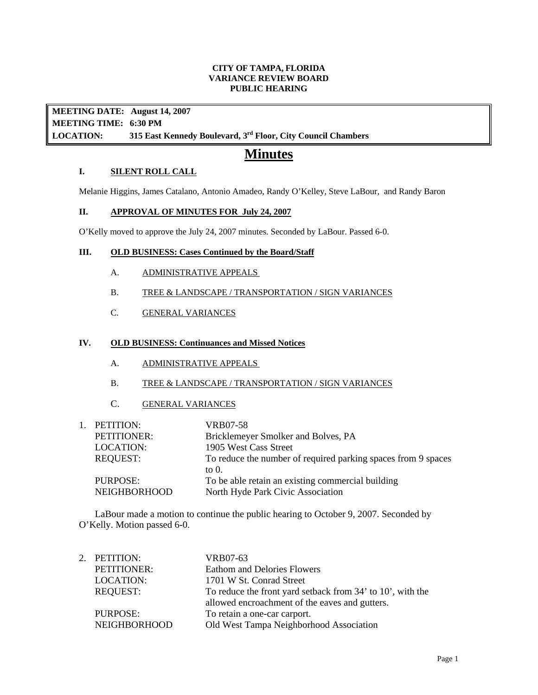#### **CITY OF TAMPA, FLORIDA VARIANCE REVIEW BOARD PUBLIC HEARING**

**MEETING DATE: August 14, 2007 MEETING TIME: 6:30 PM LOCATION: 315 East Kennedy Boulevard, 3rd Floor, City Council Chambers** 

# **Minutes**

## **I. SILENT ROLL CALL**

Melanie Higgins, James Catalano, Antonio Amadeo, Randy O'Kelley, Steve LaBour, and Randy Baron

## **II. APPROVAL OF MINUTES FOR July 24, 2007**

O'Kelly moved to approve the July 24, 2007 minutes. Seconded by LaBour. Passed 6-0.

## **III. OLD BUSINESS: Cases Continued by the Board/Staff**

- A. ADMINISTRATIVE APPEALS
- B. TREE & LANDSCAPE / TRANSPORTATION / SIGN VARIANCES
- C. GENERAL VARIANCES

## **IV. OLD BUSINESS: Continuances and Missed Notices**

- A. ADMINISTRATIVE APPEALS
- B. TREE & LANDSCAPE / TRANSPORTATION / SIGN VARIANCES
- C. GENERAL VARIANCES

| 1. PETITION:       | VRB07-58                                                      |
|--------------------|---------------------------------------------------------------|
| <b>PETITIONER:</b> | Bricklemeyer Smolker and Bolves, PA                           |
| LOCATION:          | 1905 West Cass Street                                         |
| <b>REQUEST:</b>    | To reduce the number of required parking spaces from 9 spaces |
|                    | to $0$ .                                                      |
| PURPOSE:           | To be able retain an existing commercial building             |
| NEIGHBORHOOD       | North Hyde Park Civic Association                             |

LaBour made a motion to continue the public hearing to October 9, 2007. Seconded by O'Kelly. Motion passed 6-0.

| 2. PETITION:        | VRB07-63                                                   |
|---------------------|------------------------------------------------------------|
| PETITIONER:         | <b>Eathom and Delories Flowers</b>                         |
| <b>LOCATION:</b>    | 1701 W St. Conrad Street                                   |
| <b>REQUEST:</b>     | To reduce the front yard setback from 34' to 10', with the |
|                     | allowed encroachment of the eaves and gutters.             |
| <b>PURPOSE:</b>     | To retain a one-car carport.                               |
| <b>NEIGHBORHOOD</b> | Old West Tampa Neighborhood Association                    |
|                     |                                                            |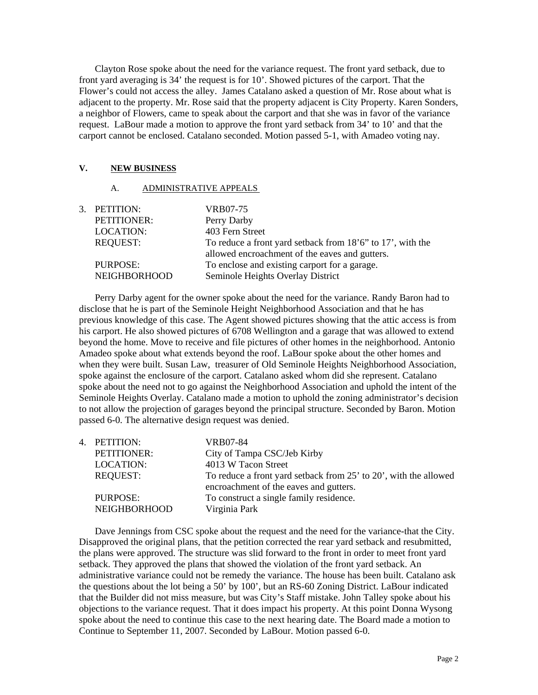Clayton Rose spoke about the need for the variance request. The front yard setback, due to front yard averaging is 34' the request is for 10'. Showed pictures of the carport. That the Flower's could not access the alley. James Catalano asked a question of Mr. Rose about what is adjacent to the property. Mr. Rose said that the property adjacent is City Property. Karen Sonders, a neighbor of Flowers, came to speak about the carport and that she was in favor of the variance request. LaBour made a motion to approve the front yard setback from 34' to 10' and that the carport cannot be enclosed. Catalano seconded. Motion passed 5-1, with Amadeo voting nay.

## **V. NEW BUSINESS**

## A. ADMINISTRATIVE APPEALS

| PETITIONER:<br>Perry Darby<br>403 Fern Street<br><b>LOCATION:</b><br><b>REQUEST:</b><br>allowed encroachment of the eaves and gutters.<br>To enclose and existing carport for a garage.<br>PURPOSE:<br><b>NEIGHBORHOOD</b><br>Seminole Heights Overlay District | 3. PETITION: | VRB07-75                                                   |
|-----------------------------------------------------------------------------------------------------------------------------------------------------------------------------------------------------------------------------------------------------------------|--------------|------------------------------------------------------------|
|                                                                                                                                                                                                                                                                 |              |                                                            |
|                                                                                                                                                                                                                                                                 |              |                                                            |
|                                                                                                                                                                                                                                                                 |              | To reduce a front yard setback from 18'6" to 17', with the |
|                                                                                                                                                                                                                                                                 |              |                                                            |
|                                                                                                                                                                                                                                                                 |              |                                                            |
|                                                                                                                                                                                                                                                                 |              |                                                            |

Perry Darby agent for the owner spoke about the need for the variance. Randy Baron had to disclose that he is part of the Seminole Height Neighborhood Association and that he has previous knowledge of this case. The Agent showed pictures showing that the attic access is from his carport. He also showed pictures of 6708 Wellington and a garage that was allowed to extend beyond the home. Move to receive and file pictures of other homes in the neighborhood. Antonio Amadeo spoke about what extends beyond the roof. LaBour spoke about the other homes and when they were built. Susan Law, treasurer of Old Seminole Heights Neighborhood Association, spoke against the enclosure of the carport. Catalano asked whom did she represent. Catalano spoke about the need not to go against the Neighborhood Association and uphold the intent of the Seminole Heights Overlay. Catalano made a motion to uphold the zoning administrator's decision to not allow the projection of garages beyond the principal structure. Seconded by Baron. Motion passed 6-0. The alternative design request was denied.

| 4. PETITION:                    | VRB07-84                                                                                                   |
|---------------------------------|------------------------------------------------------------------------------------------------------------|
| PETITIONER:                     | City of Tampa CSC/Jeb Kirby                                                                                |
| <b>LOCATION:</b>                | 4013 W Tacon Street                                                                                        |
| <b>REQUEST:</b>                 | To reduce a front yard setback from 25' to 20', with the allowed<br>encroachment of the eaves and gutters. |
| PURPOSE:<br><b>NEIGHBORHOOD</b> | To construct a single family residence.<br>Virginia Park                                                   |

Dave Jennings from CSC spoke about the request and the need for the variance-that the City. Disapproved the original plans, that the petition corrected the rear yard setback and resubmitted, the plans were approved. The structure was slid forward to the front in order to meet front yard setback. They approved the plans that showed the violation of the front yard setback. An administrative variance could not be remedy the variance. The house has been built. Catalano ask the questions about the lot being a 50' by 100', but an RS-60 Zoning District. LaBour indicated that the Builder did not miss measure, but was City's Staff mistake. John Talley spoke about his objections to the variance request. That it does impact his property. At this point Donna Wysong spoke about the need to continue this case to the next hearing date. The Board made a motion to Continue to September 11, 2007. Seconded by LaBour. Motion passed 6-0.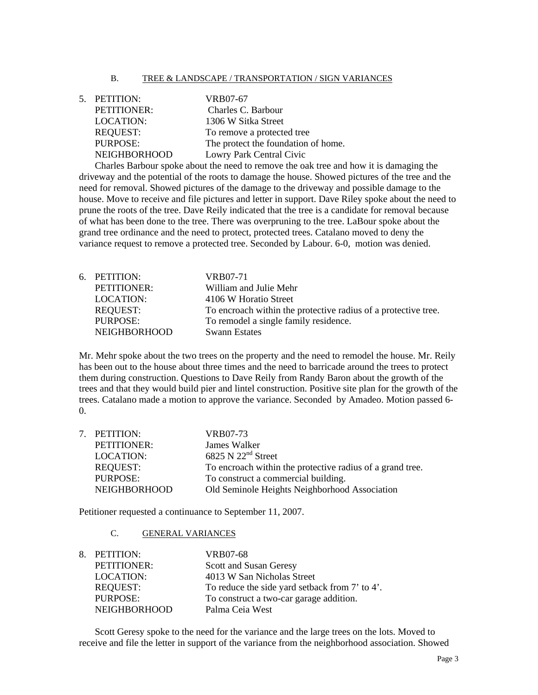#### B. TREE & LANDSCAPE / TRANSPORTATION / SIGN VARIANCES

| 5. PETITION:        | VRB07-67                            |
|---------------------|-------------------------------------|
| <b>PETITIONER:</b>  | Charles C. Barbour                  |
| <b>LOCATION:</b>    | 1306 W Sitka Street                 |
| <b>REQUEST:</b>     | To remove a protected tree          |
| <b>PURPOSE:</b>     | The protect the foundation of home. |
| <b>NEIGHBORHOOD</b> | Lowry Park Central Civic            |

Charles Barbour spoke about the need to remove the oak tree and how it is damaging the driveway and the potential of the roots to damage the house. Showed pictures of the tree and the need for removal. Showed pictures of the damage to the driveway and possible damage to the house. Move to receive and file pictures and letter in support. Dave Riley spoke about the need to prune the roots of the tree. Dave Reily indicated that the tree is a candidate for removal because of what has been done to the tree. There was overpruning to the tree. LaBour spoke about the grand tree ordinance and the need to protect, protected trees. Catalano moved to deny the variance request to remove a protected tree. Seconded by Labour. 6-0, motion was denied.

| 6. PETITION:        | VRB07-71                                                       |
|---------------------|----------------------------------------------------------------|
| PETITIONER:         | William and Julie Mehr                                         |
| <b>LOCATION:</b>    | 4106 W Horatio Street                                          |
| <b>REQUEST:</b>     | To encroach within the protective radius of a protective tree. |
| PURPOSE:            | To remodel a single family residence.                          |
| <b>NEIGHBORHOOD</b> | <b>Swann Estates</b>                                           |
|                     |                                                                |

Mr. Mehr spoke about the two trees on the property and the need to remodel the house. Mr. Reily has been out to the house about three times and the need to barricade around the trees to protect them during construction. Questions to Dave Reily from Randy Baron about the growth of the trees and that they would build pier and lintel construction. Positive site plan for the growth of the trees. Catalano made a motion to approve the variance. Seconded by Amadeo. Motion passed 6- 0.

|                     | VRB07-73                                                  |
|---------------------|-----------------------------------------------------------|
| <b>PETITIONER:</b>  | James Walker                                              |
| <b>LOCATION:</b>    | 6825 N $22nd$ Street                                      |
| <b>REQUEST:</b>     | To encroach within the protective radius of a grand tree. |
| <b>PURPOSE:</b>     | To construct a commercial building.                       |
| <b>NEIGHBORHOOD</b> | Old Seminole Heights Neighborhood Association             |
|                     | 7. PETITION:                                              |

Petitioner requested a continuance to September 11, 2007.

C. GENERAL VARIANCES

| To reduce the side yard setback from 7' to 4'. |
|------------------------------------------------|
|                                                |
|                                                |
|                                                |

Scott Geresy spoke to the need for the variance and the large trees on the lots. Moved to receive and file the letter in support of the variance from the neighborhood association. Showed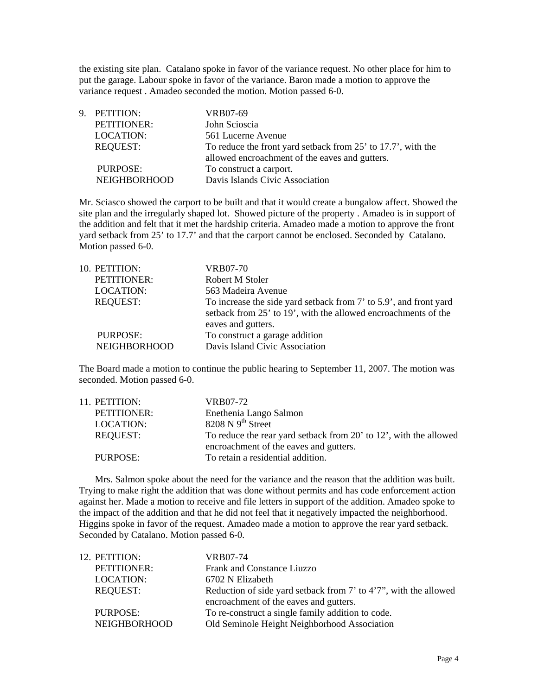the existing site plan. Catalano spoke in favor of the variance request. No other place for him to put the garage. Labour spoke in favor of the variance. Baron made a motion to approve the variance request . Amadeo seconded the motion. Motion passed 6-0.

| 9. PETITION:        | VRB07-69                                                     |
|---------------------|--------------------------------------------------------------|
| PETITIONER:         | John Scioscia                                                |
| <b>LOCATION:</b>    | 561 Lucerne Avenue                                           |
| <b>REQUEST:</b>     | To reduce the front yard setback from 25' to 17.7', with the |
|                     | allowed encroachment of the eaves and gutters.               |
| PURPOSE:            | To construct a carport.                                      |
| <b>NEIGHBORHOOD</b> | Davis Islands Civic Association                              |

Mr. Sciasco showed the carport to be built and that it would create a bungalow affect. Showed the site plan and the irregularly shaped lot. Showed picture of the property . Amadeo is in support of the addition and felt that it met the hardship criteria. Amadeo made a motion to approve the front yard setback from 25' to 17.7' and that the carport cannot be enclosed. Seconded by Catalano. Motion passed 6-0.

| 10. PETITION:    | VRB07-70                                                          |
|------------------|-------------------------------------------------------------------|
| PETITIONER:      | Robert M Stoler                                                   |
| <b>LOCATION:</b> | 563 Madeira Avenue                                                |
| <b>REQUEST:</b>  | To increase the side yard setback from 7' to 5.9', and front yard |
|                  | setback from 25' to 19', with the allowed encroachments of the    |
|                  | eaves and gutters.                                                |
| PURPOSE:         | To construct a garage addition                                    |
| NEIGHBORHOOD     | Davis Island Civic Association                                    |
|                  |                                                                   |

The Board made a motion to continue the public hearing to September 11, 2007. The motion was seconded. Motion passed 6-0.

| 11. PETITION:   | VRB07-72                                                          |
|-----------------|-------------------------------------------------------------------|
| PETITIONER:     | Enethenia Lango Salmon                                            |
| LOCATION:       | $8208$ N 9 <sup>th</sup> Street                                   |
| <b>REQUEST:</b> | To reduce the rear yard setback from 20' to 12', with the allowed |
|                 | encroachment of the eaves and gutters.                            |
| PURPOSE:        | To retain a residential addition.                                 |

Mrs. Salmon spoke about the need for the variance and the reason that the addition was built. Trying to make right the addition that was done without permits and has code enforcement action against her. Made a motion to receive and file letters in support of the addition. Amadeo spoke to the impact of the addition and that he did not feel that it negatively impacted the neighborhood. Higgins spoke in favor of the request. Amadeo made a motion to approve the rear yard setback. Seconded by Catalano. Motion passed 6-0.

| 12. PETITION:       | VRB07-74                                                         |
|---------------------|------------------------------------------------------------------|
| PETITIONER:         | Frank and Constance Liuzzo                                       |
| <b>LOCATION:</b>    | 6702 N Elizabeth                                                 |
| <b>REQUEST:</b>     | Reduction of side yard setback from 7' to 4'7", with the allowed |
|                     | encroachment of the eaves and gutters.                           |
| PURPOSE:            | To re-construct a single family addition to code.                |
| <b>NEIGHBORHOOD</b> | Old Seminole Height Neighborhood Association                     |
|                     |                                                                  |